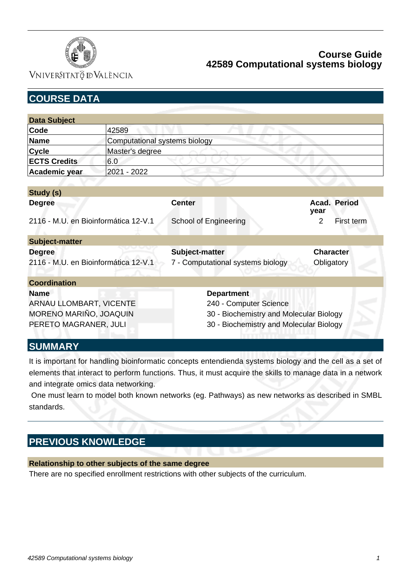

VNIVERSITATÖ ID VALÈNCIA

| <b>COURSE DATA</b>                                    |                                      |                                                     |                                |  |
|-------------------------------------------------------|--------------------------------------|-----------------------------------------------------|--------------------------------|--|
|                                                       |                                      |                                                     |                                |  |
| <b>Data Subject</b>                                   |                                      |                                                     |                                |  |
| Code                                                  | 42589                                |                                                     |                                |  |
| <b>Name</b>                                           | <b>Computational systems biology</b> |                                                     |                                |  |
| <b>Cycle</b>                                          | Master's degree                      |                                                     |                                |  |
| <b>ECTS Credits</b>                                   | 6.0                                  |                                                     |                                |  |
| Academic year                                         | 2021 - 2022                          |                                                     |                                |  |
|                                                       |                                      |                                                     |                                |  |
| Study (s)                                             |                                      |                                                     |                                |  |
| <b>Degree</b>                                         |                                      | <b>Center</b>                                       | <b>Acad. Period</b><br>year    |  |
| 2116 - M.U. en Bioinformática 12-V.1                  |                                      | <b>School of Engineering</b>                        | $\overline{2}$<br>First term   |  |
| <b>Subject-matter</b>                                 |                                      |                                                     |                                |  |
| <b>Degree</b><br>2116 - M.U. en Bioinformática 12-V.1 |                                      | Subject-matter<br>7 - Computational systems biology | <b>Character</b><br>Obligatory |  |
| <b>Coordination</b>                                   |                                      |                                                     |                                |  |
| <b>Name</b>                                           |                                      | <b>Department</b>                                   |                                |  |
| ARNAU LLOMBART, VICENTE                               |                                      | 240 - Computer Science                              |                                |  |
| MORENO MARIÑO, JOAQUIN                                |                                      | 30 - Biochemistry and Molecular Biology             |                                |  |
| PERETO MAGRANER, JULI                                 |                                      | 30 - Biochemistry and Molecular Biology             |                                |  |
| <b>SUMMARY</b>                                        |                                      |                                                     |                                |  |

It is important for handling bioinformatic concepts entendienda systems biology and the cell as a set of elements that interact to perform functions. Thus, it must acquire the skills to manage data in a network and integrate omics data networking.

 One must learn to model both known networks (eg. Pathways) as new networks as described in SMBL standards.

## **PREVIOUS KNOWLEDGE**

#### **Relationship to other subjects of the same degree**

There are no specified enrollment restrictions with other subjects of the curriculum.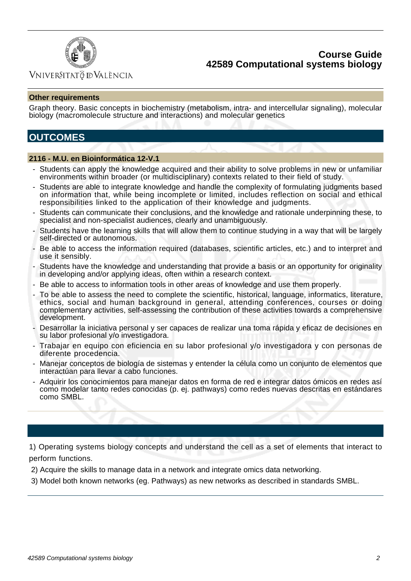

### Vniver§itatğ dValència

#### **Other requirements**

Graph theory. Basic concepts in biochemistry (metabolism, intra- and intercellular signaling), molecular biology (macromolecule structure and interactions) and molecular genetics

## **OUTCOMES**

#### **2116 - M.U. en Bioinformática 12-V.1**

- Students can apply the knowledge acquired and their ability to solve problems in new or unfamiliar environments within broader (or multidisciplinary) contexts related to their field of study.
- Students are able to integrate knowledge and handle the complexity of formulating judgments based on information that, while being incomplete or limited, includes reflection on social and ethical responsibilities linked to the application of their knowledge and judgments.
- Students can communicate their conclusions, and the knowledge and rationale underpinning these, to specialist and non-specialist audiences, clearly and unambiguously.
- Students have the learning skills that will allow them to continue studying in a way that will be largely self-directed or autonomous.
- Be able to access the information required (databases, scientific articles, etc.) and to interpret and use it sensibly.
- Students have the knowledge and understanding that provide a basis or an opportunity for originality in developing and/or applying ideas, often within a research context.
- Be able to access to information tools in other areas of knowledge and use them properly.
- To be able to assess the need to complete the scientific, historical, language, informatics, literature, ethics, social and human background in general, attending conferences, courses or doing complementary activities, self-assessing the contribution of these activities towards a comprehensive development.
- Desarrollar la iniciativa personal y ser capaces de realizar una toma rápida y eficaz de decisiones en su labor profesional y/o investigadora.
- Trabajar en equipo con eficiencia en su labor profesional y/o investigadora y con personas de diferente procedencia.
- Manejar conceptos de biología de sistemas y entender la célula como un conjunto de elementos que interactúan para llevar a cabo funciones.
- Adquirir los conocimientos para manejar datos en forma de red e integrar datos ómicos en redes así como modelar tanto redes conocidas (p. ej. pathways) como redes nuevas descritas en estándares como SMBL.

1) Operating systems biology concepts and understand the cell as a set of elements that interact to perform functions.

2) Acquire the skills to manage data in a network and integrate omics data networking.

3) Model both known networks (eg. Pathways) as new networks as described in standards SMBL.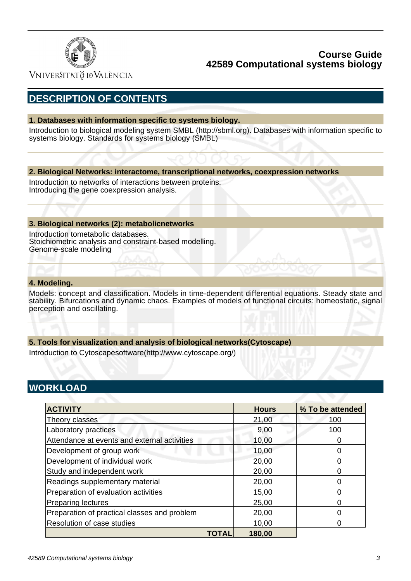

VNIVERSITATÖ ID VALÈNCIA

# **DESCRIPTION OF CONTENTS**

#### **1. Databases with information specific to systems biology.**

Introduction to biological modeling system SMBL (http://sbml.org). Databases with information specific to systems biology. Standards for systems biology (SMBL)

#### **2. Biological Networks: interactome, transcriptional networks, coexpression networks**

Introduction to networks of interactions between proteins. Introducing the gene coexpression analysis.

#### **3. Biological networks (2): metabolicnetworks**

Introduction tometabolic databases. Stoichiometric analysis and constraint-based modelling. Genome-scale modeling

#### **4. Modeling.**

Models: concept and classification. Models in time-dependent differential equations. Steady state and stability. Bifurcations and dynamic chaos. Examples of models of functional circuits: homeostatic, signal perception and oscillating.

#### **5. Tools for visualization and analysis of biological networks(Cytoscape)**

Introduction to Cytoscapesoftware(http://www.cytoscape.org/)

## **WORKLOAD**

| <b>ACTIVITY</b>                              | <b>Hours</b> | % To be attended |
|----------------------------------------------|--------------|------------------|
| Theory classes                               | 21,00        | 100              |
| Laboratory practices                         | 9,00         | 100              |
| Attendance at events and external activities | 10,00        |                  |
| Development of group work                    | 10,00        |                  |
| Development of individual work               | 20,00        |                  |
| Study and independent work                   | 20,00        |                  |
| Readings supplementary material              | 20,00        |                  |
| Preparation of evaluation activities         | 15,00        |                  |
| <b>Preparing lectures</b>                    | 25,00        |                  |
| Preparation of practical classes and problem | 20,00        |                  |
| Resolution of case studies                   | 10,00        |                  |
| TOTAL                                        | 180,00       |                  |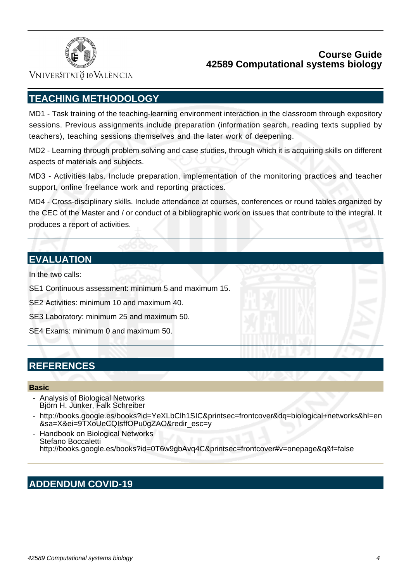

Vniver§itatğ dValència

# **TEACHING METHODOLOGY**

MD1 - Task training of the teaching-learning environment interaction in the classroom through expository sessions. Previous assignments include preparation (information search, reading texts supplied by teachers), teaching sessions themselves and the later work of deepening.

MD2 - Learning through problem solving and case studies, through which it is acquiring skills on different aspects of materials and subjects.

MD3 - Activities labs. Include preparation, implementation of the monitoring practices and teacher support, online freelance work and reporting practices.

MD4 - Cross-disciplinary skills. Include attendance at courses, conferences or round tables organized by the CEC of the Master and / or conduct of a bibliographic work on issues that contribute to the integral. It produces a report of activities.

## **EVALUATION**

In the two calls:

SE1 Continuous assessment: minimum 5 and maximum 15.

SE2 Activities: minimum 10 and maximum 40.

SE3 Laboratory: minimum 25 and maximum 50.

SE4 Exams: minimum 0 and maximum 50.

## **REFERENCES**

#### **Basic**

- Analysis of Biological Networks Björn H. Junker, Falk Schreiber
- http://books.google.es/books?id=YeXLbClh1SIC&printsec=frontcover&dq=biological+networks&hl=en &sa=X&ei=9TXoUeCQIsffOPu0gZAO&redir\_esc=y
- Handbook on Biological Networks Stefano Boccaletti http://books.google.es/books?id=0T6w9gbAvq4C&printsec=frontcover#v=onepage&q&f=false

# **ADDENDUM COVID-19**